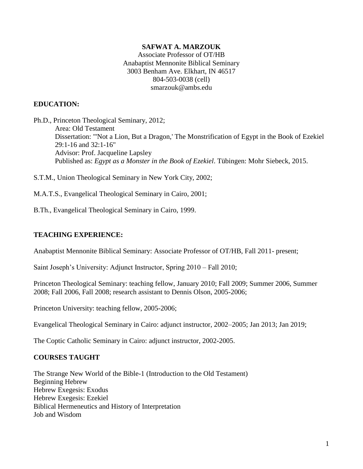#### **SAFWAT A. MARZOUK**

Associate Professor of OT/HB Anabaptist Mennonite Biblical Seminary 3003 Benham Ave. Elkhart, IN 46517 804-503-0038 (cell) smarzouk@ambs.edu

#### **EDUCATION:**

Ph.D., Princeton Theological Seminary, 2012; Area: Old Testament Dissertation: "'Not a Lion, But a Dragon,' The Monstrification of Egypt in the Book of Ezekiel 29:1-16 and 32:1-16" Advisor: Prof. Jacqueline Lapsley Published as: *Egypt as a Monster in the Book of Ezekiel*. Tübingen: Mohr Siebeck, 2015.

S.T.M., Union Theological Seminary in New York City, 2002;

M.A.T.S., Evangelical Theological Seminary in Cairo, 2001;

B.Th., Evangelical Theological Seminary in Cairo, 1999.

#### **TEACHING EXPERIENCE:**

Anabaptist Mennonite Biblical Seminary: Associate Professor of OT/HB, Fall 2011- present;

Saint Joseph's University: Adjunct Instructor, Spring 2010 – Fall 2010;

Princeton Theological Seminary: teaching fellow, January 2010; Fall 2009; Summer 2006, Summer 2008; Fall 2006, Fall 2008; research assistant to Dennis Olson, 2005-2006;

Princeton University: teaching fellow, 2005-2006;

Evangelical Theological Seminary in Cairo: adjunct instructor, 2002–2005; Jan 2013; Jan 2019;

The Coptic Catholic Seminary in Cairo: adjunct instructor, 2002-2005.

#### **COURSES TAUGHT**

The Strange New World of the Bible-1 (Introduction to the Old Testament) Beginning Hebrew Hebrew Exegesis: Exodus Hebrew Exegesis: Ezekiel Biblical Hermeneutics and History of Interpretation Job and Wisdom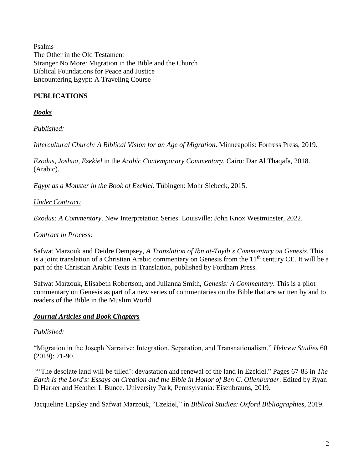Psalms The Other in the Old Testament Stranger No More: Migration in the Bible and the Church Biblical Foundations for Peace and Justice Encountering Egypt: A Traveling Course

# **PUBLICATIONS**

*Books*

*Published:*

*Intercultural Church: A Biblical Vision for an Age of Migration*. Minneapolis: Fortress Press, 2019.

*Exodus, Joshua, Ezekiel* in the *Arabic Contemporary Commentary*. Cairo: Dar Al Thaqafa, 2018. (Arabic).

*Egypt as a Monster in the Book of Ezekiel*. Tübingen: Mohr Siebeck, 2015.

*Under Contract:*

*Exodus: A Commentary*. New Interpretation Series. Louisville: John Knox Westminster, 2022.

### *Contract in Process:*

Safwat Marzouk and Deidre Dempsey, *A Translation of Ibn at-Tayib's Commentary on Genesis*. This is a joint translation of a Christian Arabic commentary on Genesis from the  $11<sup>th</sup>$  century CE. It will be a part of the Christian Arabic Texts in Translation, published by Fordham Press.

Safwat Marzouk, Elisabeth Robertson, and Julianna Smith, *Genesis: A Commentary*. This is a pilot commentary on Genesis as part of a new series of commentaries on the Bible that are written by and to readers of the Bible in the Muslim World.

### *Journal Articles and Book Chapters*

### *Published:*

"Migration in the Joseph Narrative: Integration, Separation, and Transnationalism." *Hebrew Studies* 60 (2019): 71-90.

"The desolate land will be tilled': devastation and renewal of the land in Ezekiel." Pages 67-83 in *The Earth Is the Lord's: Essays on Creation and the Bible in Honor of Ben C. Ollenburger*. Edited by Ryan D Harker and Heather L Bunce. University Park, Pennsylvania: Eisenbrauns, 2019.

Jacqueline Lapsley and Safwat Marzouk, "Ezekiel," in *Biblical Studies: Oxford Bibliographies*, 2019.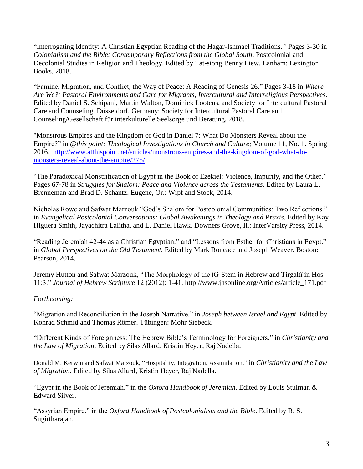"Interrogating Identity: A Christian Egyptian Reading of the Hagar-Ishmael Traditions.*"* Pages 3-30 in *Colonialism and the Bible: Contemporary Reflections from the Global South*. Postcolonial and Decolonial Studies in Religion and Theology. Edited by Tat-siong Benny Liew. Lanham: Lexington Books, 2018.

"Famine, Migration, and Conflict, the Way of Peace: A Reading of Genesis 26." Pages 3-18 in *Where Are We?: Pastoral Environments and Care for Migrants, Intercultural and Interreligious Perspectives*. Edited by Daniel S. Schipani, Martin Walton, Dominiek Lootens, and Society for Intercultural Pastoral Care and Counseling. Düsseldorf, Germany: Society for Intercultural Pastoral Care and Counseling/Gesellschaft für interkulturelle Seelsorge und Beratung, 2018.

"Monstrous Empires and the Kingdom of God in Daniel 7: What Do Monsters Reveal about the Empire?" in *@this point: Theological Investigations in Church and Culture;* Volume 11, No. 1. Spring 2016. [http://www.atthispoint.net/articles/monstrous-empires-and-the-kingdom-of-god-what-do](http://www.atthispoint.net/articles/monstrous-empires-and-the-kingdom-of-god-what-do-monsters-reveal-about-the-empire/275/)[monsters-reveal-about-the-empire/275/](http://www.atthispoint.net/articles/monstrous-empires-and-the-kingdom-of-god-what-do-monsters-reveal-about-the-empire/275/)

"The Paradoxical Monstrification of Egypt in the Book of Ezekiel: Violence, Impurity, and the Other." Pages 67-78 in *Struggles for Shalom: Peace and Violence across the Testaments.* Edited by Laura L. Brenneman and Brad D. Schantz. Eugene, Or.: Wipf and Stock, 2014.

Nicholas Rowe and Safwat Marzouk "God's Shalom for Postcolonial Communities: Two Reflections." in *Evangelical Postcolonial Conversations: Global Awakenings in Theology and Praxis*. Edited by Kay Higuera Smith, Jayachitra Lalitha, and L. Daniel Hawk. Downers Grove, Il.: InterVarsity Press, 2014.

"Reading Jeremiah 42-44 as a Christian Egyptian." and "Lessons from Esther for Christians in Egypt." in *Global Perspectives on the Old Testament.* Edited by Mark Roncace and Joseph Weaver. Boston: Pearson, 2014.

Jeremy Hutton and Safwat Marzouk, ["The Morphology of the tG-Stem in Hebrew and Tirgaltî in Hos](https://www.academia.edu/1992502/_The_Morphology_of_the_tG-Stem_in_Hebrew_and_Tirgalti_in_Hos_11_3._)  [11:3."](https://www.academia.edu/1992502/_The_Morphology_of_the_tG-Stem_in_Hebrew_and_Tirgalti_in_Hos_11_3._) *Journal of Hebrew Scripture* 12 (2012): 1-41. [http://www.jhsonline.org/Articles/article\\_171.pdf](http://www.jhsonline.org/Articles/article_171.pdf)

### *Forthcoming:*

"Migration and Reconciliation in the Joseph Narrative." in *Joseph between Israel and Egypt*. Edited by Konrad Schmid and Thomas Römer. Tübingen: Mohr Siebeck.

"Different Kinds of Foreignness: The Hebrew Bible's Terminology for Foreigners." in *Christianity and the Law of Migration*. Edited by Silas Allard, Kristin Heyer, Raj Nadella.

Donald M. Kerwin and Safwat Marzouk, "Hospitality, Integration, Assimilation." in *Christianity and the Law of Migration*. Edited by Silas Allard, Kristin Heyer, Raj Nadella.

"Egypt in the Book of Jeremiah." in the *Oxford Handbook of Jeremiah*. Edited by Louis Stulman & Edward Silver.

"Assyrian Empire." in the *Oxford Handbook of Postcolonialism and the Bible*. Edited by R. S. Sugirtharajah.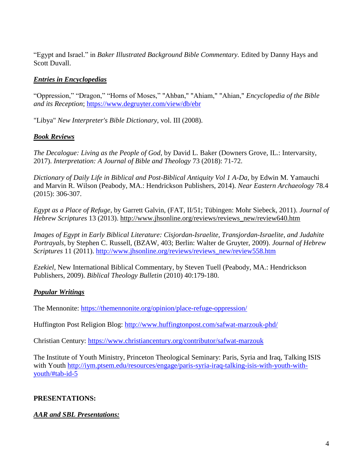"Egypt and Israel." in *Baker Illustrated Background Bible Commentary.* Edited by Danny Hays and Scott Duvall.

# *Entries in Encyclopedias*

"Oppression," "Dragon," "Horns of Moses," "Ahban," "Ahiam," "Ahian," *Encyclopedia of the Bible and its Reception*; <https://www.degruyter.com/view/db/ebr>

"Libya" *New Interpreter's Bible Dictionary*, vol. III (2008).

# *Book Reviews*

*The Decalogue: Living as the People of God*, by David L. Baker (Downers Grove, IL.: Intervarsity, 2017). *Interpretation: A Journal of Bible and Theology* 73 (2018): 71-72.

*Dictionary of Daily Life in Biblical and Post-Biblical Antiquity Vol 1 A-Da,* by Edwin M. Yamauchi and Marvin R. Wilson (Peabody, MA.: Hendrickson Publishers, 2014). *Near Eastern Archaeology* 78.4 (2015): 306-307.

*Egypt as a Place of Refuge*, by Garrett Galvin, (FAT, II/51; Tübingen: Mohr Siebeck, 2011). *[Journal of](http://www.jhsonline.org/index.html)  [Hebrew Scriptures](http://www.jhsonline.org/index.html)* 13 (2013). [http://www.jhsonline.org/reviews/reviews\\_new/review640.htm](http://www.jhsonline.org/reviews/reviews_new/review640.htm)

*Images of Egypt in Early Biblical Literature: Cisjordan-Israelite, Transjordan-Israelite, and Judahite Portrayals*, by Stephen C. Russell, (BZAW, 403; Berlin: Walter de Gruyter, 2009). *[Journal of Hebrew](http://www.jhsonline.org/index.html)  [Scriptures](http://www.jhsonline.org/index.html)* 11 (2011). [http://www.jhsonline.org/reviews/reviews\\_new/review558.htm](http://www.jhsonline.org/reviews/reviews_new/review558.htm)

*Ezekiel*, New International Biblical Commentary, by Steven Tuell (Peabody, MA.: Hendrickson Publishers, 2009). *Biblical Theology Bulletin* (2010) 40:179-180.

# *Popular Writings*

The Mennonite:<https://themennonite.org/opinion/place-refuge-oppression/>

Huffington Post Religion Blog:<http://www.huffingtonpost.com/safwat-marzouk-phd/>

Christian Century:<https://www.christiancentury.org/contributor/safwat-marzouk>

The Institute of Youth Ministry, Princeton Theological Seminary: Paris, Syria and Iraq, Talking ISIS with Youth [http://iym.ptsem.edu/resources/engage/paris-syria-iraq-talking-isis-with-youth-with](http://iym.ptsem.edu/resources/engage/paris-syria-iraq-talking-isis-with-youth-with-youth/#tab-id-5)[youth/#tab-id-5](http://iym.ptsem.edu/resources/engage/paris-syria-iraq-talking-isis-with-youth-with-youth/#tab-id-5)

# **PRESENTATIONS:**

# *AAR and SBL Presentations:*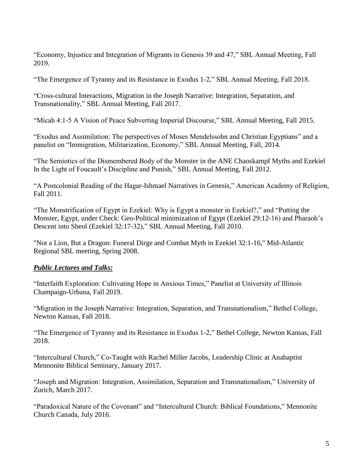"Economy, Injustice and Integration of Migrants in Genesis 39 and 47," SBL Annual Meeting, Fall 2019.

"The Emergence of Tyranny and its Resistance in Exodus 1-2," SBL Annual Meeting, Fall 2018.

"Cross-cultural Interactions, Migration in the Joseph Narrative: Integration, Separation, and Transnationality," SBL Annual Meeting, Fall 2017.

"Micah 4:1-5 A Vision of Peace Subverting Imperial Discourse," SBL Annual Meeting, Fall 2015.

"Exodus and Assimilation: The perspectives of Moses Mendelssohn and Christian Egyptians" and a panelist on "Immigration, Militarization, Economy," SBL Annual Meeting, Fall, 2014.

"The Semiotics of the Dismembered Body of the Monster in the ANE Chaoskampf Myths and Ezekiel In the Light of Foucault's Discipline and Punish," SBL Annual Meeting, Fall 2012.

"A Postcolonial Reading of the Hagar-Ishmael Narratives in Genesis," American Academy of Religion, Fall 2011.

["The Monstrification of Egypt in Ezekiel: Why is Egypt a monster in Ezekiel?," a](javascript:void%20window.open()nd ["Putting the](javascript:void%20window.open()  [Monster, Egypt, under Check: Geo-Political minimization of Egypt \(Ezekiel 29:12-16\) and Pharaoh's](javascript:void%20window.open()  [Descent into Sheol \(Ezekiel 32:17-32\)," SBL Annual Meeting, Fall 2010.](javascript:void%20window.open()

"Not a Lion, But a Dragon: Funeral Dirge and Combat Myth in Ezekiel 32:1-16," Mid-Atlantic Regional SBL meeting, Spring 2008.

# *Public Lectures and Talks:*

"Interfaith Exploration: Cultivating Hope in Anxious Times," Panelist at University of Illinois Champaign-Urbana, Fall 2019.

"Migration in the Joseph Narrative: Integration, Separation, and Transnationalism," Bethel College, Newton Kansas, Fall 2018.

"The Emergence of Tyranny and its Resistance in Exodus 1-2," Bethel College, Newton Kansas, Fall 2018.

"Intercultural Church," Co-Taught with Rachel Miller Jacobs, Leadership Clinic at Anabaptist Mennonite Biblical Seminary, January 2017.

"Joseph and Migration: Integration, Assimilation, Separation and Transnationalism," University of Zurich, March 2017.

"Paradoxical Nature of the Covenant" and "Intercultural Church: Biblical Foundations," Mennonite Church Canada, July 2016.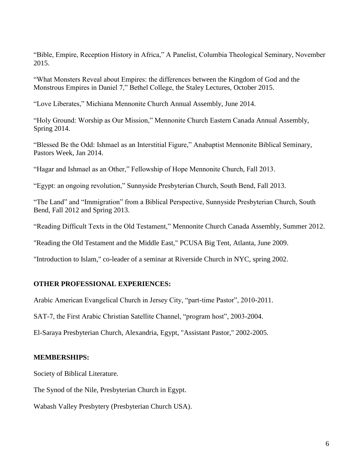"Bible, Empire, Reception History in Africa," A Panelist, Columbia Theological Seminary, November 2015.

"What Monsters Reveal about Empires: the differences between the Kingdom of God and the Monstrous Empires in Daniel 7," Bethel College, the Staley Lectures, October 2015.

"Love Liberates," Michiana Mennonite Church Annual Assembly, June 2014.

"Holy Ground: Worship as Our Mission," Mennonite Church Eastern Canada Annual Assembly, Spring 2014.

"Blessed Be the Odd: Ishmael as an Interstitial Figure," Anabaptist Mennonite Biblical Seminary, Pastors Week, Jan 2014.

"Hagar and Ishmael as an Other," Fellowship of Hope Mennonite Church, Fall 2013.

"Egypt: an ongoing revolution," Sunnyside Presbyterian Church, South Bend, Fall 2013.

"The Land" and "Immigration" from a Biblical Perspective, Sunnyside Presbyterian Church, South Bend, Fall 2012 and Spring 2013.

"Reading Difficult Texts in the Old Testament," Mennonite Church Canada Assembly, Summer 2012.

"Reading the Old Testament and the Middle East," PCUSA Big Tent, Atlanta, June 2009.

"Introduction to Islam," co-leader of a seminar at Riverside Church in NYC, spring 2002.

### **OTHER PROFESSIONAL EXPERIENCES:**

Arabic American Evangelical Church in Jersey City, "part-time Pastor", 2010-2011.

SAT-7, the First Arabic Christian Satellite Channel, "program host", 2003-2004.

El-Saraya Presbyterian Church, Alexandria, Egypt, "Assistant Pastor," 2002-2005.

### **MEMBERSHIPS:**

Society of Biblical Literature.

The Synod of the Nile, Presbyterian Church in Egypt.

Wabash Valley Presbytery (Presbyterian Church USA).